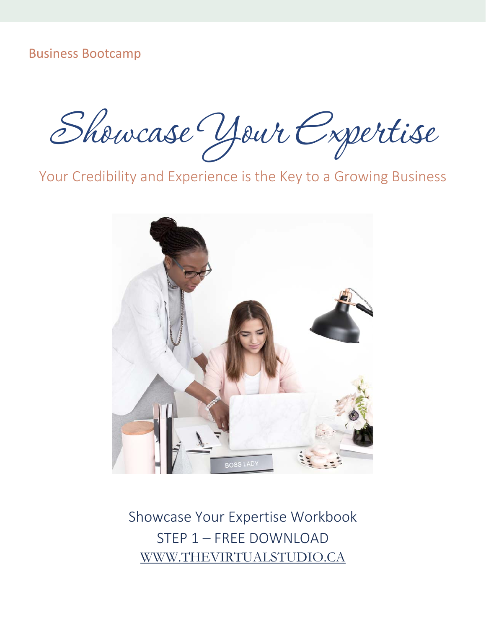Showcase Your Expertise

Your Credibility and Experience is the Key to a Growing Business



Showcase Your Expertise Workbook STEP 1 – FREE DOWNLOAD WWW.THEVIRTUALSTUDIO.CA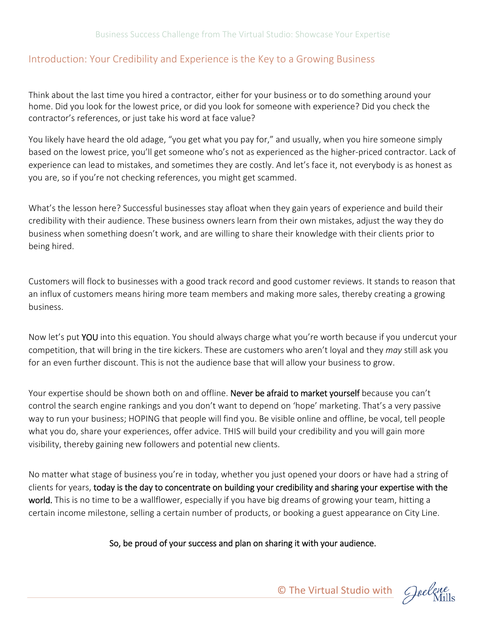#### Introduction: Your Credibility and Experience is the Key to a Growing Business

Think about the last time you hired a contractor, either for your business or to do something around your home. Did you look for the lowest price, or did you look for someone with experience? Did you check the contractor's references, or just take his word at face value?

You likely have heard the old adage, "you get what you pay for," and usually, when you hire someone simply based on the lowest price, you'll get someone who's not as experienced as the higher‐priced contractor. Lack of experience can lead to mistakes, and sometimes they are costly. And let's face it, not everybody is as honest as you are, so if you're not checking references, you might get scammed.

What's the lesson here? Successful businesses stay afloat when they gain years of experience and build their credibility with their audience. These business owners learn from their own mistakes, adjust the way they do business when something doesn't work, and are willing to share their knowledge with their clients prior to being hired.

Customers will flock to businesses with a good track record and good customer reviews. It stands to reason that an influx of customers means hiring more team members and making more sales, thereby creating a growing business.

Now let's put YOU into this equation. You should always charge what you're worth because if you undercut your competition, that will bring in the tire kickers. These are customers who aren't loyal and they *may* still ask you for an even further discount. This is not the audience base that will allow your business to grow.

Your expertise should be shown both on and offline. Never be afraid to market yourself because you can't control the search engine rankings and you don't want to depend on 'hope' marketing. That's a very passive way to run your business; HOPING that people will find you. Be visible online and offline, be vocal, tell people what you do, share your experiences, offer advice. THIS will build your credibility and you will gain more visibility, thereby gaining new followers and potential new clients.

No matter what stage of business you're in today, whether you just opened your doors or have had a string of clients for years, today is the day to concentrate on building your credibility and sharing your expertise with the world. This is no time to be a wallflower, especially if you have big dreams of growing your team, hitting a certain income milestone, selling a certain number of products, or booking a guest appearance on City Line.

#### So, be proud of your success and plan on sharing it with your audience.

© The Virtual Studio with Cheelene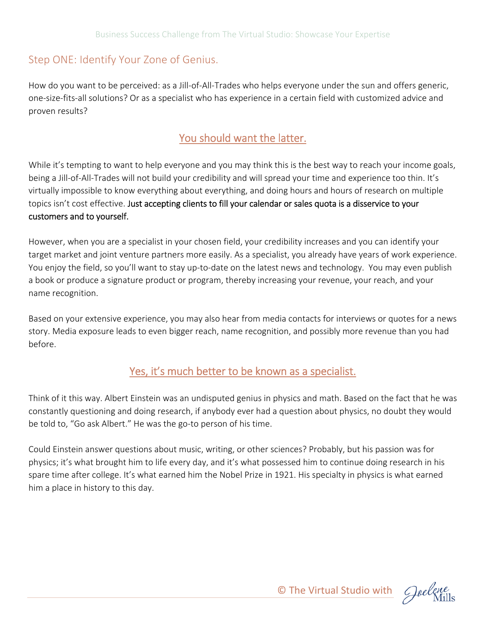# Step ONE: Identify Your Zone of Genius.

How do you want to be perceived: as a Jill‐of‐All‐Trades who helps everyone under the sun and offers generic, one‐size‐fits‐all solutions? Or as a specialist who has experience in a certain field with customized advice and proven results?

# You should want the latter.

While it's tempting to want to help everyone and you may think this is the best way to reach your income goals, being a Jill-of-All-Trades will not build your credibility and will spread your time and experience too thin. It's virtually impossible to know everything about everything, and doing hours and hours of research on multiple topics isn't cost effective. Just accepting clients to fill your calendar or sales quota is a disservice to your customers and to yourself.

However, when you are a specialist in your chosen field, your credibility increases and you can identify your target market and joint venture partners more easily. As a specialist, you already have years of work experience. You enjoy the field, so you'll want to stay up-to-date on the latest news and technology. You may even publish a book or produce a signature product or program, thereby increasing your revenue, your reach, and your name recognition.

Based on your extensive experience, you may also hear from media contacts for interviews or quotes for a news story. Media exposure leads to even bigger reach, name recognition, and possibly more revenue than you had before.

### Yes, it's much better to be known as a specialist.

Think of it this way. Albert Einstein was an undisputed genius in physics and math. Based on the fact that he was constantly questioning and doing research, if anybody ever had a question about physics, no doubt they would be told to, "Go ask Albert." He was the go-to person of his time.

Could Einstein answer questions about music, writing, or other sciences? Probably, but his passion was for physics; it's what brought him to life every day, and it's what possessed him to continue doing research in his spare time after college. It's what earned him the Nobel Prize in 1921. His specialty in physics is what earned him a place in history to this day.

© The Virtual Studio with Goelene